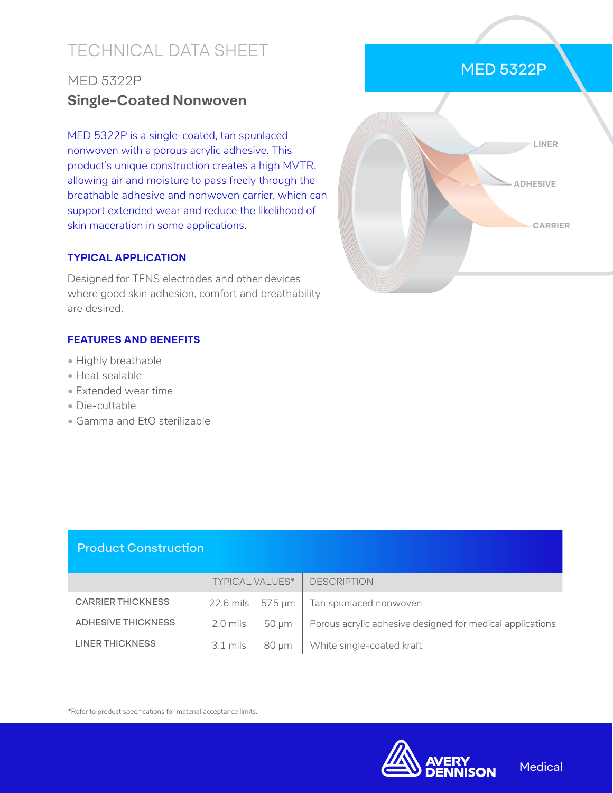# TECHNICAL DATA SHEET

## MED 5322P **Single-Coated Nonwoven**

MED 5322P is a single-coated, tan spunlaced nonwoven with a porous acrylic adhesive. This product's unique construction creates a high MVTR, allowing air and moisture to pass freely through the breathable adhesive and nonwoven carrier, which can support extended wear and reduce the likelihood of skin maceration in some applications.

#### **TYPICAL APPLICATION**

Designed for TENS electrodes and other devices where good skin adhesion, comfort and breathability are desired.

#### **FEATURES AND BENEFITS**

- Highly breathable
- Heat sealable
- Extended wear time
- Die-cuttable
- Gamma and EtO sterilizable



### Product Construction

|                          | <b>TYPICAL VALUES*</b> |       | <b>DESCRIPTION</b>                                        |
|--------------------------|------------------------|-------|-----------------------------------------------------------|
| <b>CARRIER THICKNESS</b> |                        |       | 22.6 mils   575 µm   Tan spunlaced nonwoven               |
| ADHESIVE THICKNESS       | 2.0 mils               | 50 um | Porous acrylic adhesive designed for medical applications |
| <b>LINER THICKNESS</b>   | $3.1 \,\mathrm{mils}$  | 80 µm | White single-coated kraft                                 |

\*Refer to product specifications for material acceptance limits.